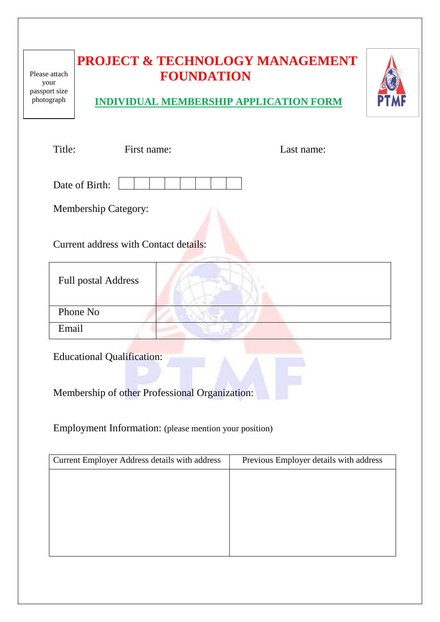| Please attach<br>your<br>passport size<br>photograph |                                                                                     | <b>FOUNDATION</b> | <b>PROJECT &amp; TECHNOLOGY MANAGEMENT</b><br><b>INDIVIDUAL MEMBERSHIP APPLICATION FORM</b> |  |
|------------------------------------------------------|-------------------------------------------------------------------------------------|-------------------|---------------------------------------------------------------------------------------------|--|
| Title:                                               | First name:                                                                         |                   | Last name:                                                                                  |  |
|                                                      | Date of Birth:                                                                      |                   |                                                                                             |  |
|                                                      | <b>Membership Category:</b>                                                         |                   |                                                                                             |  |
|                                                      | Current address with Contact details:                                               |                   |                                                                                             |  |
|                                                      | <b>Full postal Address</b>                                                          |                   |                                                                                             |  |
|                                                      | Phone No                                                                            |                   |                                                                                             |  |
| Email                                                |                                                                                     |                   |                                                                                             |  |
|                                                      | <b>Educational Qualification:</b><br>Membership of other Professional Organization: |                   |                                                                                             |  |

Employment Information: (please mention your position)

| Current Employer Address details with address | Previous Employer details with address |
|-----------------------------------------------|----------------------------------------|
|                                               |                                        |
|                                               |                                        |
|                                               |                                        |
|                                               |                                        |
|                                               |                                        |
|                                               |                                        |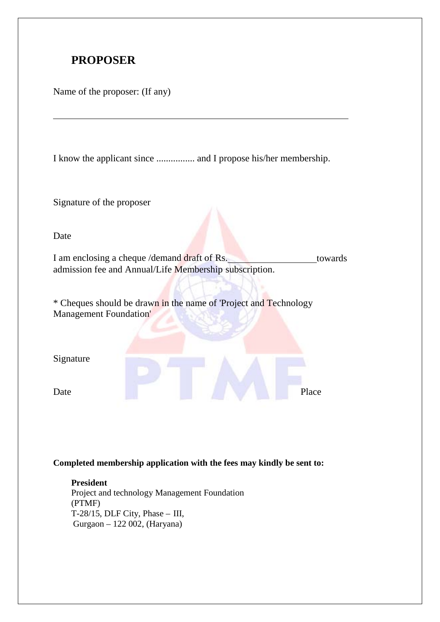## **PROPOSER**

Name of the proposer: (If any)

I know the applicant since ................ and I propose his/her membership.

Signature of the proposer

Date

I am enclosing a cheque /demand draft of Rs. towards admission fee and Annual/Life Membership subscription.

\* Cheques should be drawn in the name of 'Project and Technology Management Foundation'

Signature

Date Place Place

**Completed membership application with the fees may kindly be sent to:**

**President** Project and technology Management Foundation (PTMF) T-28/15, DLF City, Phase  $-$  III, Gurgaon – 122 002, (Haryana)